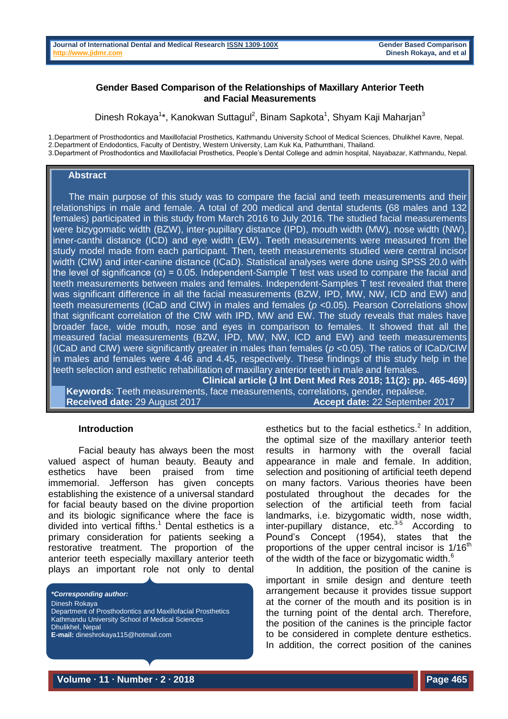## **Gender Based Comparison of the Relationships of Maxillary Anterior Teeth and Facial Measurements**

Dinesh Rokaya<sup>1\*</sup>, Kanokwan Suttagul<sup>2</sup>, Binam Sapkota<sup>1</sup>, Shyam Kaji Maharjan<sup>3</sup>

1.Department of Prosthodontics and Maxillofacial Prosthetics, Kathmandu University School of Medical Sciences, Dhulikhel Kavre, Nepal.

2.Department of Endodontics, Faculty of Dentistry, Western University, Lam Kuk Ka, Pathumthani, Thailand.

3.Department of Prosthodontics and Maxillofacial Prosthetics, People's Dental College and admin hospital, Nayabazar, Kathmandu, Nepal.

### **Abstract**

 The main purpose of this study was to compare the facial and teeth measurements and their relationships in male and female. A total of 200 medical and dental students (68 males and 132 females) participated in this study from March 2016 to July 2016. The studied facial measurements were bizygomatic width (BZW), inter-pupillary distance (IPD), mouth width (MW), nose width (NW), inner-canthi distance (ICD) and eye width (EW). Teeth measurements were measured from the study model made from each participant. Then, teeth measurements studied were central incisor width (CIW) and inter-canine distance (ICaD). Statistical analyses were done using SPSS 20.0 with the level of significance ( $α$ ) = 0.05. Independent-Sample T test was used to compare the facial and teeth measurements between males and females. Independent-Samples T test revealed that there was significant difference in all the facial measurements (BZW, IPD, MW, NW, ICD and EW) and teeth measurements (ICaD and CIW) in males and females (*p* <0.05). Pearson Correlations show that significant correlation of the CIW with IPD, MW and EW. The study reveals that males have broader face, wide mouth, nose and eyes in comparison to females. It showed that all the measured facial measurements (BZW, IPD, MW, NW, ICD and EW) and teeth measurements (ICaD and CIW) were significantly greater in males than females (*p* <0.05). The ratios of ICaD/CIW in males and females were 4.46 and 4.45, respectively. These findings of this study help in the teeth selection and esthetic rehabilitation of maxillary anterior teeth in male and females.

**Clinical article (J Int Dent Med Res 2018; 11(2): pp. 465-469) Keywords**: Teeth measurements, face measurements, correlations, gender, nepalese. **Received date:** 29 August 2017 **Accept date:** 22 September 2017

### **Introduction**

Facial beauty has always been the most valued aspect of human beauty. Beauty and esthetics have been praised from time immemorial. Jefferson has given concepts establishing the existence of a universal standard for facial beauty based on the divine proportion and its biologic significance where the face is divided into vertical fifths. $<sup>1</sup>$  Dental esthetics is a</sup> primary consideration for patients seeking a restorative treatment. The proportion of the anterior teeth especially maxillary anterior teeth plays an important role not only to dental

*\*Corresponding author:* Dinesh Rokaya Department of Prosthodontics and Maxillofacial Prosthetics Kathmandu University School of Medical Sciences Dhulikhel, Nepal **E-mail:** dineshrokaya115@hotmail.com

esthetics but to the facial esthetics. $2$  In addition, the optimal size of the maxillary anterior teeth results in harmony with the overall facial appearance in male and female. In addition, selection and positioning of artificial teeth depend on many factors. Various theories have been postulated throughout the decades for the selection of the artificial teeth from facial landmarks, i.e. bizygomatic width, nose width, inter-pupillary distance, etc. $3-5$  According to Pound's Concept (1954), states that the proportions of the upper central incisor is  $1/16<sup>th</sup>$ of the width of the face or bizygomatic width. $6$ 

In addition, the position of the canine is important in smile design and denture teeth arrangement because it provides tissue support at the corner of the mouth and its position is in the turning point of the dental arch. Therefore, the position of the canines is the principle factor to be considered in complete denture esthetics. In addition, the correct position of the canines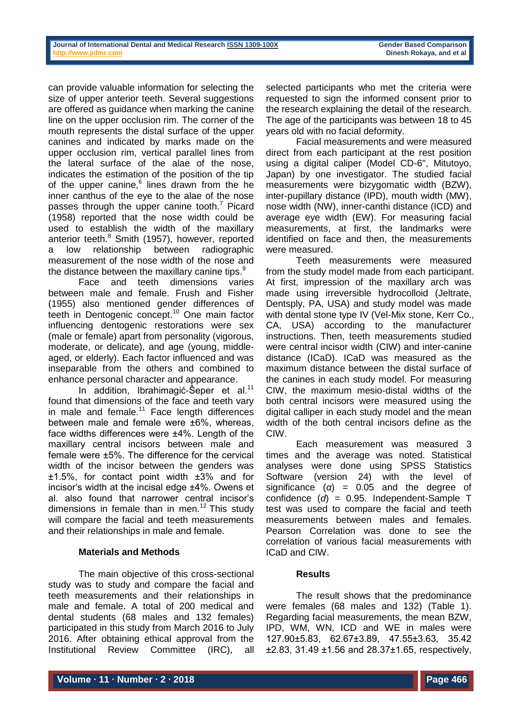can provide valuable information for selecting the size of upper anterior teeth. Several suggestions are offered as guidance when marking the canine line on the upper occlusion rim. The corner of the mouth represents the distal surface of the upper canines and indicated by marks made on the upper occlusion rim, vertical parallel lines from the lateral surface of the alae of the nose, indicates the estimation of the position of the tip of the upper canine, $6$  lines drawn from the he inner canthus of the eye to the alae of the nose passes through the upper canine tooth.<sup>7</sup> Picard (1958) reported that the nose width could be used to establish the width of the maxillary anterior teeth. <sup>8</sup> Smith (1957), however, reported a low relationship between radiographic measurement of the nose width of the nose and the distance between the maxillary canine tips. $^{9}$ 

Face and teeth dimensions varies between male and female. Frush and Fisher (1955) also mentioned gender differences of teeth in Dentogenic concept.<sup>10</sup> One main factor influencing dentogenic restorations were sex (male or female) apart from personality (vigorous, moderate, or delicate), and age (young, middleaged, or elderly). Each factor influenced and was inseparable from the others and combined to enhance personal character and appearance.

In addition, Ibrahimagić-Šeper et al.<sup>11</sup> found that dimensions of the face and teeth vary in male and female.<sup>11</sup> Face length differences between male and female were ±6%, whereas, face widths differences were ±4%. Length of the maxillary central incisors between male and female were ±5%. The difference for the cervical width of the incisor between the genders was ±1.5%, for contact point width ±3% and for incisor's width at the incisal edge ±4%. Owens et al. also found that narrower central incisor's dimensions in female than in men.<sup>12</sup> This study will compare the facial and teeth measurements and their relationships in male and female.

# **Materials and Methods**

The main objective of this cross-sectional study was to study and compare the facial and teeth measurements and their relationships in male and female. A total of 200 medical and dental students (68 males and 132 females) participated in this study from March 2016 to July 2016. After obtaining ethical approval from the Institutional Review Committee (IRC), all

selected participants who met the criteria were requested to sign the informed consent prior to the research explaining the detail of the research. The age of the participants was between 18 to 45 years old with no facial deformity.

Facial measurements and were measured direct from each participant at the rest position using a digital caliper (Model CD-6", Mitutoyo, Japan) by one investigator. The studied facial measurements were bizygomatic width (BZW), inter-pupillary distance (IPD), mouth width (MW), nose width (NW), inner-canthi distance (ICD) and average eye width (EW). For measuring facial measurements, at first, the landmarks were identified on face and then, the measurements were measured.

Teeth measurements were measured from the study model made from each participant. At first, impression of the maxillary arch was made using irreversible hydrocolloid (Jeltrate, Dentsply, PA, USA) and study model was made with dental stone type IV (Vel-Mix stone, Kerr Co., CA, USA) according to the manufacturer instructions. Then, teeth measurements studied were central incisor width (CIW) and inter-canine distance (ICaD). ICaD was measured as the maximum distance between the distal surface of the canines in each study model. For measuring CIW, the maximum mesio-distal widths of the both central incisors were measured using the digital calliper in each study model and the mean width of the both central incisors define as the CIW.

Each measurement was measured 3 times and the average was noted. Statistical analyses were done using SPSS Statistics Software (version 24) with the level of significance  $(\alpha)$  = 0.05 and the degree of confidence (*d*) = 0.95. Independent-Sample T test was used to compare the facial and teeth measurements between males and females. Pearson Correlation was done to see the correlation of various facial measurements with ICaD and CIW.

## **Results**

The result shows that the predominance were females (68 males and 132) (Table 1). Regarding facial measurements, the mean BZW, IPD, WM, WN, ICD and WE in males were 127.90±5.83, 62.67±3.89, 47.55±3.63, 35.42 ±2.83, 31.49 ±1.56 and 28.37±1.65, respectively,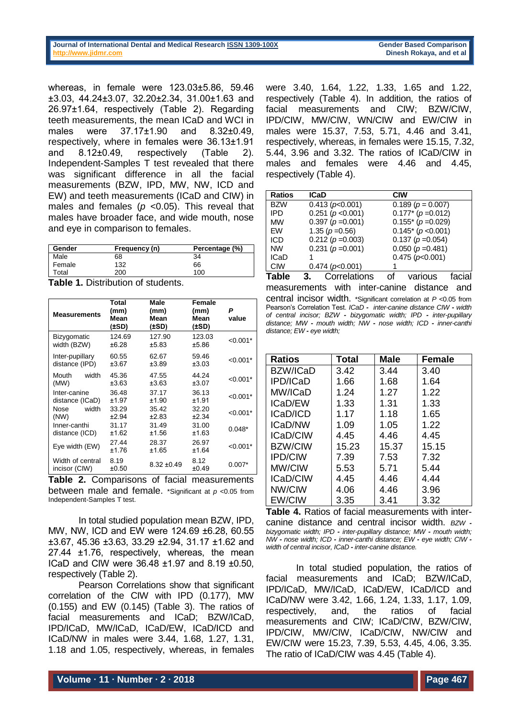#### **Journal of International Dental and Medical Researc[h ISSN 1309-100X](http://www.ektodermaldisplazi.com/dergi.htm) <b>Based Comparison Gender Based Comparison [http://www.jidmr.com](http://www.jidmr.com/) <b>Dinesh Rokaya, and et al**

whereas, in female were 123.03±5.86, 59.46 ±3.03, 44.24±3.07, 32.20±2.34, 31.00±1.63 and 26.97±1.64, respectively (Table 2). Regarding teeth measurements, the mean ICaD and WCI in males were 37.17±1.90 and 8.32±0.49, respectively, where in females were 36.13±1.91 and 8.12±0.49, respectively (Table 2). Independent-Samples T test revealed that there was significant difference in all the facial measurements (BZW, IPD, MW, NW, ICD and EW) and teeth measurements (ICaD and CIW) in males and females (*p* <0.05). This reveal that males have broader face, and wide mouth, nose and eye in comparison to females.

| Gender | Frequency (n) | Percentage (%) |
|--------|---------------|----------------|
| Male   | 68            | 34             |
| Female | 132           | 66             |
| Total  | 200           | 100            |

**Table 1.** Distribution of students.

| <b>Measurements</b>               | Total<br>(mm)<br>Mean<br>(±SD) | Male<br>(mm)<br>Mean<br>(±SD) | Female<br>(mm)<br>Mean<br>(±SD) | P<br>value |
|-----------------------------------|--------------------------------|-------------------------------|---------------------------------|------------|
| Bizygomatic<br>width (BZW)        | 124.69<br>±6.28                | 127.90<br>±5.83               | 123.03<br>±5.86                 | $< 0.001*$ |
| Inter-pupillary<br>distance (IPD) | 60.55<br>±3.67                 | 62.67<br>±3.89                | 59.46<br>±3.03                  | $< 0.001*$ |
| Mouth<br>width<br>(MW)            | 45.36<br>±3.63                 | 47.55<br>±3.63                | 44.24<br>±3.07                  | $< 0.001*$ |
| Inter-canine<br>distance (ICaD)   | 36.48<br>±1.97                 | 37.17<br>±1.90                | 36.13<br>±1.91                  | $< 0.001*$ |
| width<br>Nose<br>(NW)             | 33.29<br>±2.94                 | 35.42<br>±2.83                | 32.20<br>±2.34                  | $< 0.001*$ |
| Inner-canthi<br>distance (ICD)    | 31.17<br>±1.62                 | 31.49<br>±1.56                | 31.00<br>±1.63                  | $0.048*$   |
| Eye width (EW)                    | 27.44<br>±1.76                 | 28.37<br>±1.65                | 26.97<br>±1.64                  | $< 0.001*$ |
| Width of central<br>incisor (CIW) | 8.19<br>±0.50                  | $8.32 + 0.49$                 | 8.12<br>±0.49                   | $0.007*$   |

**Table 2.** Comparisons of facial measurements between male and female. \*Significant at *p* <0.05 from Independent-Samples T test.

In total studied population mean BZW, IPD, MW, NW, ICD and EW were 124.69 ±6.28, 60.55 ±3.67, 45.36 ±3.63, 33.29 ±2.94, 31.17 ±1.62 and 27.44 ±1.76, respectively, whereas, the mean ICaD and CIW were 36.48 ±1.97 and 8.19 ±0.50, respectively (Table 2).

Pearson Correlations show that significant correlation of the CIW with IPD (0.177), MW (0.155) and EW (0.145) (Table 3). The ratios of facial measurements and ICaD; BZW/ICaD, IPD/ICaD, MW/ICaD, ICaD/EW, ICaD/ICD and ICaD/NW in males were 3.44, 1.68, 1.27, 1.31, 1.18 and 1.05, respectively, whereas, in females

were 3.40, 1.64, 1.22, 1.33, 1.65 and 1.22, respectively (Table 4). In addition, the ratios of facial measurements and CIW; BZW/CIW, IPD/CIW, MW/CIW, WN/CIW and EW/CIW in males were 15.37, 7.53, 5.71, 4.46 and 3.41, respectively, whereas, in females were 15.15, 7.32, 5.44, 3.96 and 3.32. The ratios of ICaD/CIW in males and females were 4.46 and 4.45, respectively (Table 4).

| <b>Ratios</b> | ICaD                | <b>CIW</b>                  |  |  |
|---------------|---------------------|-----------------------------|--|--|
| <b>BZW</b>    | 0.413(p<0.001)      | $0.189(p = 0.007)$          |  |  |
| <b>IPD</b>    | 0.251 (p < 0.001)   | $0.177*(p=0.012)$           |  |  |
| <b>MW</b>     | $0.397(p=0.001)$    | $0.155^{*}$ ( $p = 0.029$ ) |  |  |
| EW            | 1.35 ( $p = 0.56$ ) | $0.145$ * (p < 0.001)       |  |  |
| ICD           | $0.212(p=0.003)$    | $0.137(p=0.054)$            |  |  |
| <b>NW</b>     | $0.231(p=0.001)$    | $0.050(p=0.481)$            |  |  |
| <b>ICaD</b>   |                     | 0.475(p<0.001)              |  |  |
| <b>CIW</b>    | 0.474 (p<0.001)     |                             |  |  |
| エーレー          | $O = 1$             | $1 - 1 - 1$<br>- L<br>.     |  |  |

**Table 3.** Correlations of various facial measurements with inter-canine distance and central incisor width. \*Significant correlation at *P* <0.05 from Pearson's Correlation Test. *ICaD - inter-canine distance CIW - width of central incisor; BZW - bizygomatic width; IPD - inter-pupillary distance; MW - mouth width; NW - nose width; ICD - inner-canthi distance; EW - eye width;*

| <b>Ratios</b>  | Total | Male  | Female |
|----------------|-------|-------|--------|
| BZW/ICaD       | 3.42  | 3.44  | 3.40   |
| IPD/ICaD       | 1.66  | 1.68  | 1.64   |
| MW/ICaD        | 1.24  | 1.27  | 1.22   |
| ICaD/EW        | 1.33  | 1.31  | 1.33   |
| ICaD/ICD       | 1.17  | 1.18  | 1.65   |
| ICaD/NW        | 1.09  | 1.05  | 1.22   |
| ICaD/CIW       | 4.45  | 4.46  | 4.45   |
| BZW/CIW        | 15.23 | 15.37 | 15.15  |
| <b>IPD/CIW</b> | 7.39  | 7.53  | 7.32   |
| MW/CIW         | 5.53  | 5.71  | 5.44   |
| ICaD/CIW       | 4.45  | 4.46  | 4.44   |
| NW/CIW         | 4.06  | 4.46  | 3.96   |
| EW/CIW         | 3.35  | 3.41  | 3.32   |

**Table 4.** Ratios of facial measurements with intercanine distance and central incisor width. *BZW bizygomatic width; IPD - inter-pupillary distance; MW - mouth width; NW - nose width; ICD - inner-canthi distance; EW - eye width; CIW width of central incisor, ICaD - inter-canine distance.*

In total studied population, the ratios of facial measurements and ICaD; BZW/ICaD, IPD/ICaD, MW/ICaD, ICaD/EW, ICaD/ICD and ICaD/NW were 3.42, 1.66, 1.24, 1.33, 1.17, 1.09, respectively, and, the ratios of facial measurements and CIW; ICaD/CIW, BZW/CIW, IPD/CIW, MW/CIW, ICaD/CIW, NW/CIW and EW/CIW were 15.23, 7.39, 5.53, 4.45, 4.06, 3.35. The ratio of ICaD/CIW was 4.45 (Table 4).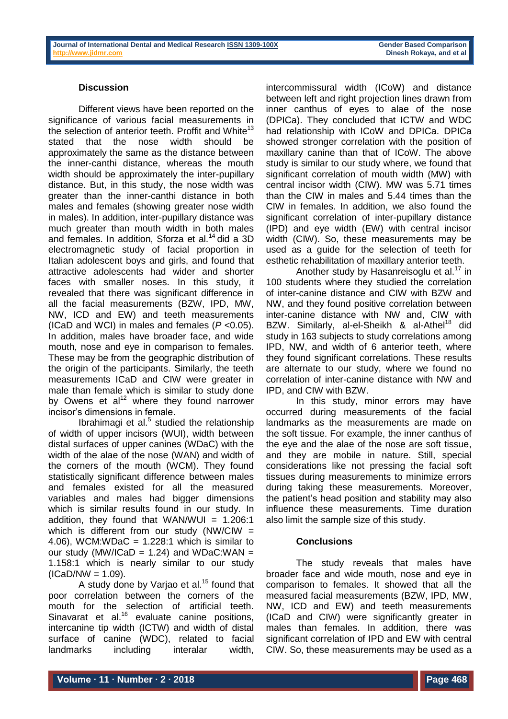## **Discussion**

Different views have been reported on the significance of various facial measurements in the selection of anterior teeth. Proffit and White<sup>13</sup> stated that the nose width should be approximately the same as the distance between the inner-canthi distance, whereas the mouth width should be approximately the inter-pupillary distance. But, in this study, the nose width was greater than the inner-canthi distance in both males and females (showing greater nose width in males). In addition, inter-pupillary distance was much greater than mouth width in both males and females. In addition, Sforza et al.<sup>14</sup> did a 3D electromagnetic study of facial proportion in Italian adolescent boys and girls, and found that attractive adolescents had wider and shorter faces with smaller noses. In this study, it revealed that there was significant difference in all the facial measurements (BZW, IPD, MW, NW, ICD and EW) and teeth measurements (ICaD and WCI) in males and females (*P* <0.05). In addition, males have broader face, and wide mouth, nose and eye in comparison to females. These may be from the geographic distribution of the origin of the participants. Similarly, the teeth measurements ICaD and CIW were greater in male than female which is similar to study done by Owens et  $al<sup>12</sup>$  where they found narrower incisor's dimensions in female.

Ibrahimagi et al. $5$  studied the relationship of width of upper incisors (WUI), width between distal surfaces of upper canines (WDaC) with the width of the alae of the nose (WAN) and width of the corners of the mouth (WCM). They found statistically significant difference between males and females existed for all the measured variables and males had bigger dimensions which is similar results found in our study. In addition, they found that WAN/WUI =  $1.206:1$ which is different from our study  $(NW/CIW =$ 4.06), WCM:WDaC =  $1.228:1$  which is similar to our study (MW/ICaD = 1.24) and WDaC:WAN = 1.158:1 which is nearly similar to our study  $(ICaD/NW = 1.09)$ .

A study done by Varjao et al.<sup>15</sup> found that poor correlation between the corners of the mouth for the selection of artificial teeth. Sinavarat et al.<sup>16</sup> evaluate canine positions, intercanine tip width (ICTW) and width of distal surface of canine (WDC), related to facial landmarks including interalar width,

intercommissural width (ICoW) and distance between left and right projection lines drawn from inner canthus of eyes to alae of the nose (DPICa). They concluded that ICTW and WDC had relationship with ICoW and DPICa. DPICa showed stronger correlation with the position of maxillary canine than that of ICoW. The above study is similar to our study where, we found that significant correlation of mouth width (MW) with central incisor width (CIW). MW was 5.71 times than the CIW in males and 5.44 times than the CIW in females. In addition, we also found the significant correlation of inter-pupillary distance (IPD) and eye width (EW) with central incisor width (CIW). So, these measurements may be used as a guide for the selection of teeth for esthetic rehabilitation of maxillary anterior teeth.

Another study by Hasanreisoglu et al.<sup>17</sup> in 100 students where they studied the correlation of inter-canine distance and CIW with BZW and NW, and they found positive correlation between inter-canine distance with NW and, CIW with BZW. Similarly, al-el-Sheikh & al-Athel<sup>18</sup> did study in 163 subjects to study correlations among IPD, NW, and width of 6 anterior teeth, where they found significant correlations. These results are alternate to our study, where we found no correlation of inter-canine distance with NW and IPD, and CIW with BZW.

In this study, minor errors may have occurred during measurements of the facial landmarks as the measurements are made on the soft tissue. For example, the inner canthus of the eye and the alae of the nose are soft tissue, and they are mobile in nature. Still, special considerations like not pressing the facial soft tissues during measurements to minimize errors during taking these measurements. Moreover, the patient's head position and stability may also influence these measurements. Time duration also limit the sample size of this study.

## **Conclusions**

The study reveals that males have broader face and wide mouth, nose and eye in comparison to females. It showed that all the measured facial measurements (BZW, IPD, MW, NW, ICD and EW) and teeth measurements (ICaD and CIW) were significantly greater in males than females. In addition, there was significant correlation of IPD and EW with central CIW. So, these measurements may be used as a